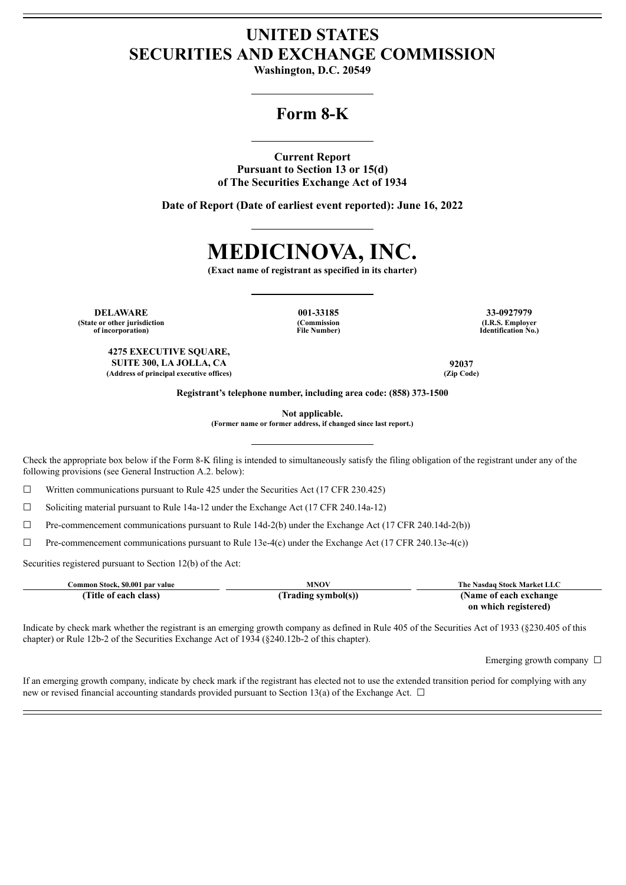## **UNITED STATES SECURITIES AND EXCHANGE COMMISSION**

**Washington, D.C. 20549**

## **Form 8-K**

**Current Report Pursuant to Section 13 or 15(d) of The Securities Exchange Act of 1934**

**Date of Report (Date of earliest event reported): June 16, 2022**



**(Exact name of registrant as specified in its charter)**

**DELAWARE 001-33185 33-0927979 (State or other jurisdiction of incorporation)**

**4275 EXECUTIVE SQUARE,**

**(Address of principal executive offices) (Zip Code)**

**(Commission File Number)**

**(I.R.S. Employer Identification No.)**

**SUITE 300, LA JOLLA, CA 92037**

**Registrant's telephone number, including area code: (858) 373-1500**

**Not applicable.**

**(Former name or former address, if changed since last report.)**

Check the appropriate box below if the Form 8-K filing is intended to simultaneously satisfy the filing obligation of the registrant under any of the following provisions (see General Instruction A.2. below):

☐ Written communications pursuant to Rule 425 under the Securities Act (17 CFR 230.425)

 $\Box$  Soliciting material pursuant to Rule 14a-12 under the Exchange Act (17 CFR 240.14a-12)

 $\Box$  Pre-commencement communications pursuant to Rule 14d-2(b) under the Exchange Act (17 CFR 240.14d-2(b))

☐ Pre-commencement communications pursuant to Rule 13e-4(c) under the Exchange Act (17 CFR 240.13e-4(c))

Securities registered pursuant to Section 12(b) of the Act:

| Common Stock. \$0.001 par value | <b>MNOV</b>         | The Nasdag Stock Market LLC |
|---------------------------------|---------------------|-----------------------------|
| (Title of each class)           | (Trading symbol(s)) | (Name of each exchange)     |
|                                 |                     | on which registered)        |

Indicate by check mark whether the registrant is an emerging growth company as defined in Rule 405 of the Securities Act of 1933 (§230.405 of this chapter) or Rule 12b-2 of the Securities Exchange Act of 1934 (§240.12b-2 of this chapter).

Emerging growth company  $\Box$ 

If an emerging growth company, indicate by check mark if the registrant has elected not to use the extended transition period for complying with any new or revised financial accounting standards provided pursuant to Section 13(a) of the Exchange Act.  $\Box$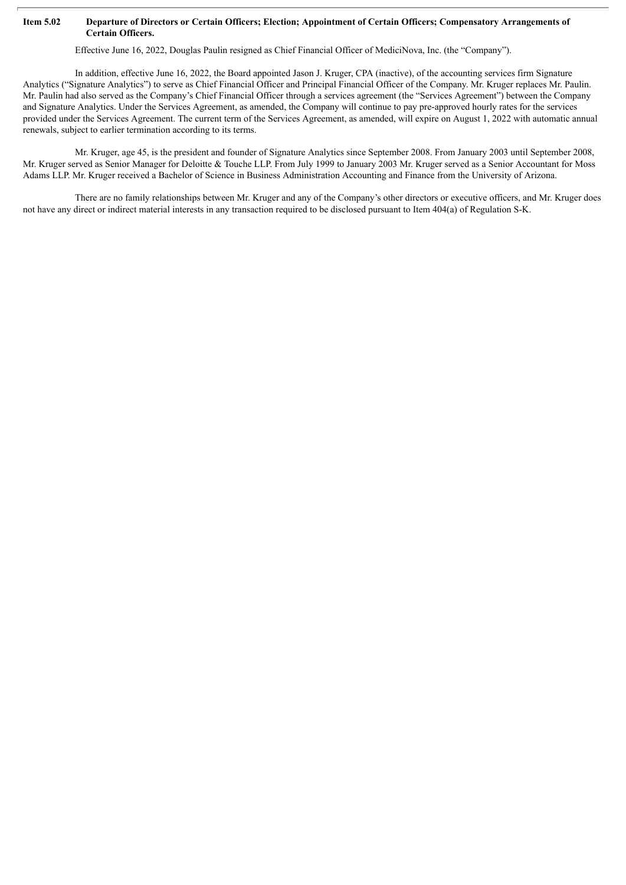## Item 5.02 Departure of Directors or Certain Officers; Election; Appointment of Certain Officers; Compensatory Arrangements of **Certain Officers.**

Effective June 16, 2022, Douglas Paulin resigned as Chief Financial Officer of MediciNova, Inc. (the "Company").

In addition, effective June 16, 2022, the Board appointed Jason J. Kruger, CPA (inactive), of the accounting services firm Signature Analytics ("Signature Analytics") to serve as Chief Financial Officer and Principal Financial Officer of the Company. Mr. Kruger replaces Mr. Paulin. Mr. Paulin had also served as the Company's Chief Financial Officer through a services agreement (the "Services Agreement") between the Company and Signature Analytics. Under the Services Agreement, as amended, the Company will continue to pay pre-approved hourly rates for the services provided under the Services Agreement. The current term of the Services Agreement, as amended, will expire on August 1, 2022 with automatic annual renewals, subject to earlier termination according to its terms.

Mr. Kruger, age 45, is the president and founder of Signature Analytics since September 2008. From January 2003 until September 2008, Mr. Kruger served as Senior Manager for Deloitte & Touche LLP. From July 1999 to January 2003 Mr. Kruger served as a Senior Accountant for Moss Adams LLP. Mr. Kruger received a Bachelor of Science in Business Administration Accounting and Finance from the University of Arizona.

There are no family relationships between Mr. Kruger and any of the Company's other directors or executive officers, and Mr. Kruger does not have any direct or indirect material interests in any transaction required to be disclosed pursuant to Item 404(a) of Regulation S-K.